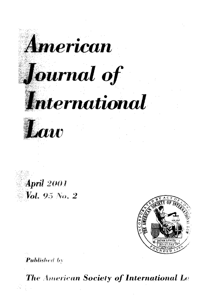





**Published by** 

The American Society of International Let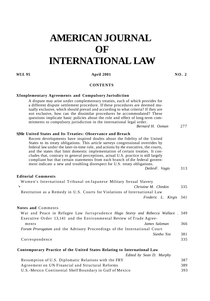# **AMERICAN JOURNAL OF INTERNATIONAL LAW**

# *WUL* 95 **April 2001 NO. 2 April 2001**

# **CONTENTS**

#### **Xfonplementary Agreements and Compulsory Jurisdiction**

A dispute may arise under complementary treaties, each of which provides for a different dispute settlement procedure. If these procedures are deemed mutually exclusive, which should prevail and according to what criteria? If they are not exclusive, how can the dissimilar procedures be accommodated? These questions implicate basic policies about the role and effect of long-term commitments to compulsory jurisdiction in the international legal order.

*Bernard H. Oxman* 277

## **S|Me United States and Its Treaties: Observance and Breach**

Recent developments have inspired doubts about the fidelity of the United States to its treaty obligations. This article surveys congressional overrides by federal law under the later-in-time rule, and actions by *the* executive, the courts, and the states that limit domestic implementation of certain treaties. It concludes that, contrary to general perceptions, actual U.S. practice is still largely compliant but that certain statements from each branch of die federal government indicate a new and troubling disrespect for U.S. treaty obligations.

*DetlevF. Vagts* 313

### **Editorial Comments**

| Women's International Tribunal on Japanese Military Sexual Slavery                      |               |            |                        |     |
|-----------------------------------------------------------------------------------------|---------------|------------|------------------------|-----|
| $^{\prime}$ .<br>Christine M. Chinkin                                                   |               |            |                        | 335 |
| Restitution as a Remedy in U.S. Courts for Violations of International Law              |               |            |                        |     |
|                                                                                         |               |            | Frederic L. Kirgis 341 |     |
| <b>Notes and Comments</b>                                                               |               |            |                        |     |
| War and Peace in Refugee Law Jurisprudence <i>Hugo Storey and Rebecca Wallace</i> . 349 |               |            |                        |     |
| Executive Order 13,141 and the Environmental Review of Trade Agree-                     |               |            |                        |     |
| ments                                                                                   | James Salzman |            |                        | 366 |
| <i>Forum Prorogatum</i> and the Advisory Proceedings of the International Court         |               |            |                        |     |
|                                                                                         |               | Sienho Yee |                        | 381 |
|                                                                                         |               |            |                        |     |

Correspondence 335

#### **Contemporary Practice of the United States Relating to International Law**

| Edited by Sean D. Murphy                                 |     |
|----------------------------------------------------------|-----|
| Resumption of U.S. Diplomatic Relations with the FRY     | 387 |
| Agreement on UN Financial and Structural Reforms         | 389 |
| U.S.-Mexico Continental Shelf Boundary in Gulf of Mexico | 393 |